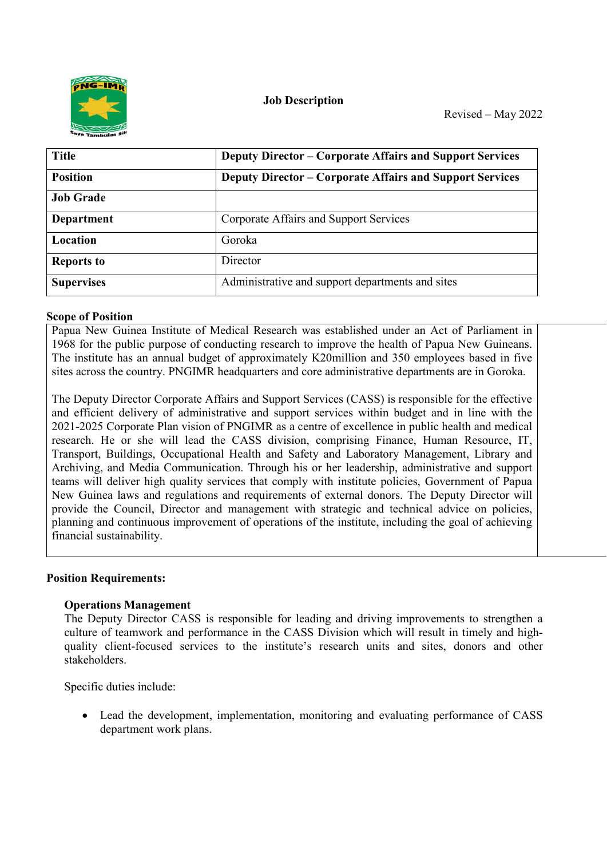

**Job Description**

| <b>Title</b>      | <b>Deputy Director – Corporate Affairs and Support Services</b> |
|-------------------|-----------------------------------------------------------------|
| <b>Position</b>   | <b>Deputy Director – Corporate Affairs and Support Services</b> |
| <b>Job Grade</b>  |                                                                 |
| Department        | Corporate Affairs and Support Services                          |
| Location          | Goroka                                                          |
| <b>Reports to</b> | Director                                                        |
| <b>Supervises</b> | Administrative and support departments and sites                |

#### **Scope of Position**

Papua New Guinea Institute of Medical Research was established under an Act of Parliament in 1968 for the public purpose of conducting research to improve the health of Papua New Guineans. The institute has an annual budget of approximately K20million and 350 employees based in five sites across the country. PNGIMR headquarters and core administrative departments are in Goroka.

The Deputy Director Corporate Affairs and Support Services (CASS) is responsible for the effective and efficient delivery of administrative and support services within budget and in line with the 2021-2025 Corporate Plan vision of PNGIMR as a centre of excellence in public health and medical research. He or she will lead the CASS division, comprising Finance, Human Resource, IT, Transport, Buildings, Occupational Health and Safety and Laboratory Management, Library and Archiving, and Media Communication. Through his or her leadership, administrative and support teams will deliver high quality services that comply with institute policies, Government of Papua New Guinea laws and regulations and requirements of external donors. The Deputy Director will provide the Council, Director and management with strategic and technical advice on policies, planning and continuous improvement of operations of the institute, including the goal of achieving financial sustainability.

## **Position Requirements:**

## **Operations Management**

The Deputy Director CASS is responsible for leading and driving improvements to strengthen a culture of teamwork and performance in the CASS Division which will result in timely and highquality client-focused services to the institute's research units and sites, donors and other stakeholders.

Specific duties include:

 Lead the development, implementation, monitoring and evaluating performance of CASS department work plans.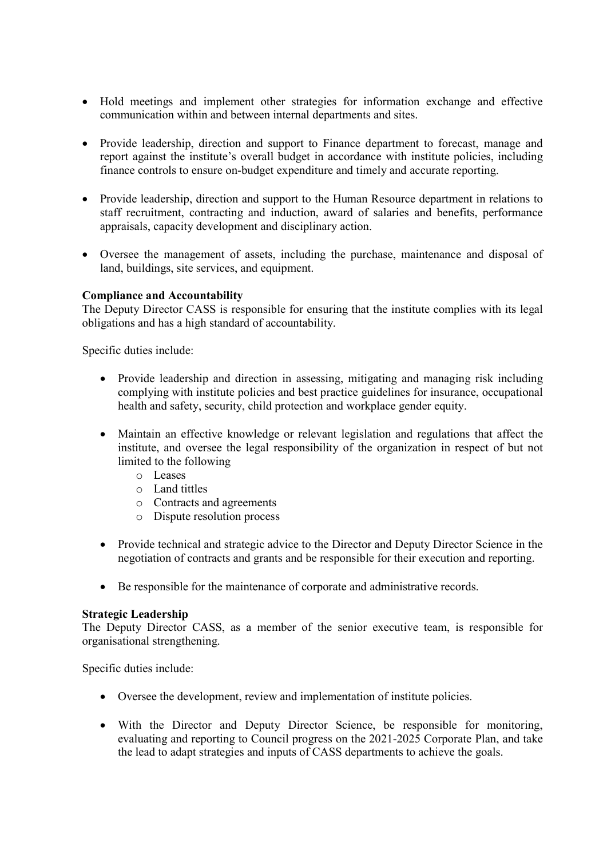- Hold meetings and implement other strategies for information exchange and effective communication within and between internal departments and sites.
- Provide leadership, direction and support to Finance department to forecast, manage and report against the institute's overall budget in accordance with institute policies, including finance controls to ensure on-budget expenditure and timely and accurate reporting.
- Provide leadership, direction and support to the Human Resource department in relations to staff recruitment, contracting and induction, award of salaries and benefits, performance appraisals, capacity development and disciplinary action.
- Oversee the management of assets, including the purchase, maintenance and disposal of land, buildings, site services, and equipment.

# **Compliance and Accountability**

The Deputy Director CASS is responsible for ensuring that the institute complies with its legal obligations and has a high standard of accountability.

Specific duties include:

- Provide leadership and direction in assessing, mitigating and managing risk including complying with institute policies and best practice guidelines for insurance, occupational health and safety, security, child protection and workplace gender equity.
- Maintain an effective knowledge or relevant legislation and regulations that affect the institute, and oversee the legal responsibility of the organization in respect of but not limited to the following
	- o Leases
	- o Land tittles
	- o Contracts and agreements
	- o Dispute resolution process
- Provide technical and strategic advice to the Director and Deputy Director Science in the negotiation of contracts and grants and be responsible for their execution and reporting.
- Be responsible for the maintenance of corporate and administrative records.

## **Strategic Leadership**

The Deputy Director CASS, as a member of the senior executive team, is responsible for organisational strengthening.

Specific duties include:

- Oversee the development, review and implementation of institute policies.
- With the Director and Deputy Director Science, be responsible for monitoring, evaluating and reporting to Council progress on the 2021-2025 Corporate Plan, and take the lead to adapt strategies and inputs of CASS departments to achieve the goals.